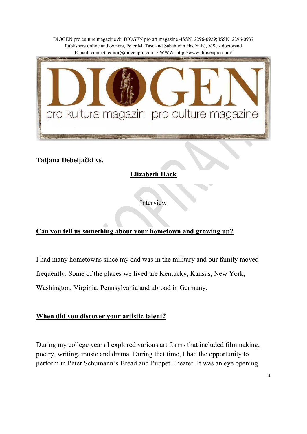

**Tatjana Debeljački vs.** 

**Elizabeth Hack**

Interview

## **Can you tell us something about your hometown and growing up?**

I had many hometowns since my dad was in the military and our family moved frequently. Some of the places we lived are Kentucky, Kansas, New York, Washington, Virginia, Pennsylvania and abroad in Germany.

#### **When did you discover your artistic talent?**

During my college years I explored various art forms that included filmmaking, poetry, writing, music and drama. During that time, I had the opportunity to perform in Peter Schumann's Bread and Puppet Theater. It was an eye opening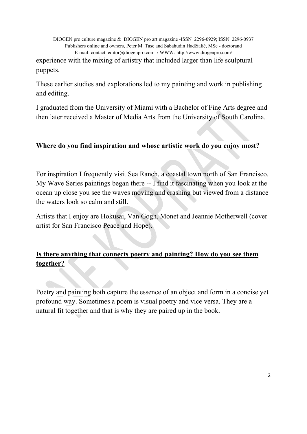DIOGEN pro culture magazine & DIOGEN pro art magazine -ISSN 2296-0929; ISSN 2296-0937 Publishers online and owners, Peter M. Tase and Sabahudin Hadžialić, MSc - doctorand E-mail: contact\_editor@diogenpro.com / WWW: http://www.diogenpro.com/ experience with the mixing of artistry that included larger than life sculptural puppets.

These earlier studies and explorations led to my painting and work in publishing and editing.

I graduated from the University of Miami with a Bachelor of Fine Arts degree and then later received a Master of Media Arts from the University of South Carolina.

#### **Where do you find inspiration and whose artistic work do you enjoy most?**

For inspiration I frequently visit Sea Ranch, a coastal town north of San Francisco. My Wave Series paintings began there -- I find it fascinating when you look at the ocean up close you see the waves moving and crashing but viewed from a distance the waters look so calm and still.

Artists that I enjoy are Hokusai, Van Gogh, Monet and Jeannie Motherwell (cover artist for San Francisco Peace and Hope).

## **Is there anything that connects poetry and painting? How do you see them together?**

Poetry and painting both capture the essence of an object and form in a concise yet profound way. Sometimes a poem is visual poetry and vice versa. They are a natural fit together and that is why they are paired up in the book.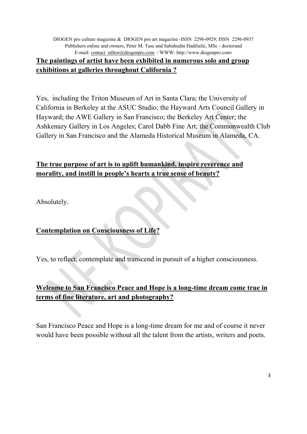DIOGEN pro culture magazine & DIOGEN pro art magazine -ISSN 2296-0929; ISSN 2296-0937 Publishers online and owners, Peter M. Tase and Sabahudin Hadžialić, MSc - doctorand E-mail: contact\_editor@diogenpro.com / WWW: http://www.diogenpro.com/ **The paintings of artist have been exhibited in numerous solo and group exhibitions at galleries throughout California ?**

Yes, including the Triton Museum of Art in Santa Clara; the University of California in Berkeley at the ASUC Studio; the Hayward Arts Council Gallery in Hayward; the AWE Gallery in San Francisco; the Berkeley Art Center; the Ashkenazy Gallery in Los Angeles; Carol Dabb Fine Art; the Commonwealth Club Gallery in San Francisco and the Alameda Historical Museum in Alameda, CA.

### **The true purpose of art is to uplift humankind, inspire reverence and morality, and instill in people's hearts a true sense of beauty?**

Absolutely.

**Contemplation on Consciousness of Life?**

Yes, to reflect, contemplate and transcend in pursuit of a higher consciousness.

## **Welcome to San Francisco Peace and Hope is a long-time dream come true in terms of fine literature, art and photography?**

San Francisco Peace and Hope is a long-time dream for me and of course it never would have been possible without all the talent from the artists, writers and poets.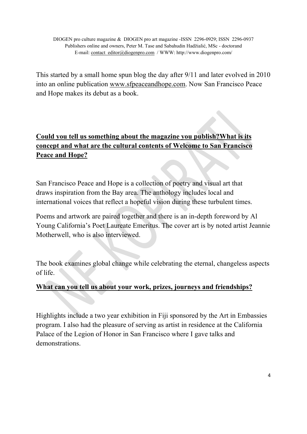This started by a small home spun blog the day after 9/11 and later evolved in 2010 into an online publication www.sfpeaceandhope.com. Now San Francisco Peace and Hope makes its debut as a book.

# **Could you tell us something about the magazine you publish?What is its concept and what are the cultural contents of Welcome to San Francisco Peace and Hope?**

San Francisco Peace and Hope is a collection of poetry and visual art that draws inspiration from the Bay area. The anthology includes local and international voices that reflect a hopeful vision during these turbulent times.

Poems and artwork are paired together and there is an in-depth foreword by Al Young California's Poet Laureate Emeritus. The cover art is by noted artist Jeannie Motherwell, who is also interviewed.

The book examines global change while celebrating the eternal, changeless aspects of life.

## **What can you tell us about your work, prizes, journeys and friendships?**

Highlights include a two year exhibition in Fiji sponsored by the Art in Embassies program. I also had the pleasure of serving as artist in residence at the California Palace of the Legion of Honor in San Francisco where I gave talks and demonstrations.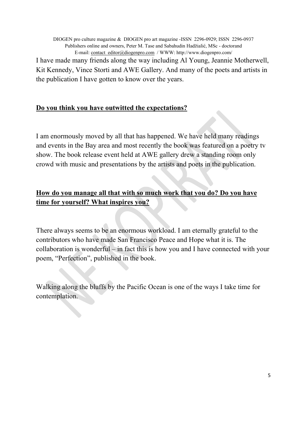I have made many friends along the way including Al Young, Jeannie Motherwell, Kit Kennedy, Vince Storti and AWE Gallery. And many of the poets and artists in the publication I have gotten to know over the years.

#### **Do you think you have outwitted the expectations?**

I am enormously moved by all that has happened. We have held many readings and events in the Bay area and most recently the book was featured on a poetry tv show. The book release event held at AWE gallery drew a standing room only crowd with music and presentations by the artists and poets in the publication.

### **How do you manage all that with so much work that you do? Do you have time for yourself? What inspires you?**

There always seems to be an enormous workload. I am eternally grateful to the contributors who have made San Francisco Peace and Hope what it is. The collaboration is wonderful – in fact this is how you and I have connected with your poem, "Perfection", published in the book.

Walking along the bluffs by the Pacific Ocean is one of the ways I take time for contemplation.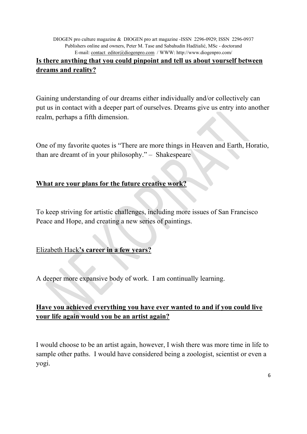#### **Is there anything that you could pinpoint and tell us about yourself between dreams and reality?**

Gaining understanding of our dreams either individually and/or collectively can put us in contact with a deeper part of ourselves. Dreams give us entry into another realm, perhaps a fifth dimension.

One of my favorite quotes is "There are more things in Heaven and Earth, Horatio, than are dreamt of in your philosophy." – Shakespeare

### **What are your plans for the future creative work?**

To keep striving for artistic challenges, including more issues of San Francisco Peace and Hope, and creating a new series of paintings.

#### Elizabeth Hack**'s career in a few years?**

A deeper more expansive body of work. I am continually learning.

### **Have you achieved everything you have ever wanted to and if you could live your life again would you be an artist again?**

I would choose to be an artist again, however, I wish there was more time in life to sample other paths. I would have considered being a zoologist, scientist or even a yogi.